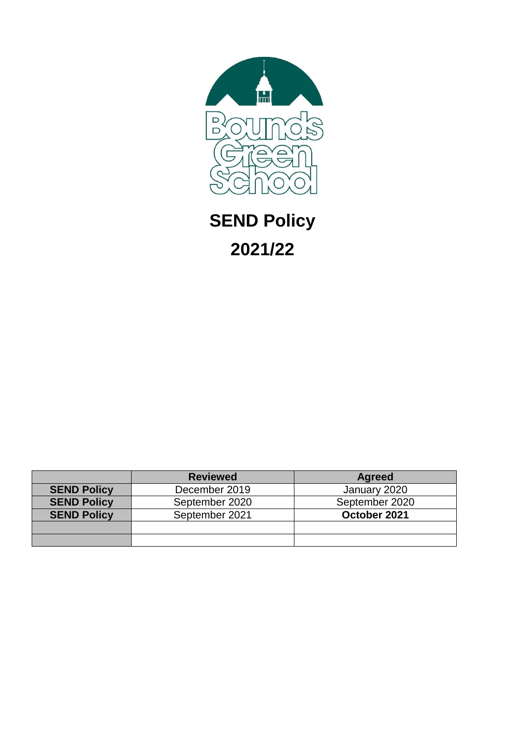

# **SEND Policy 2021/22**

|                    | <b>Reviewed</b> | <b>Agreed</b>  |
|--------------------|-----------------|----------------|
| <b>SEND Policy</b> | December 2019   | January 2020   |
| <b>SEND Policy</b> | September 2020  | September 2020 |
| <b>SEND Policy</b> | September 2021  | October 2021   |
|                    |                 |                |
|                    |                 |                |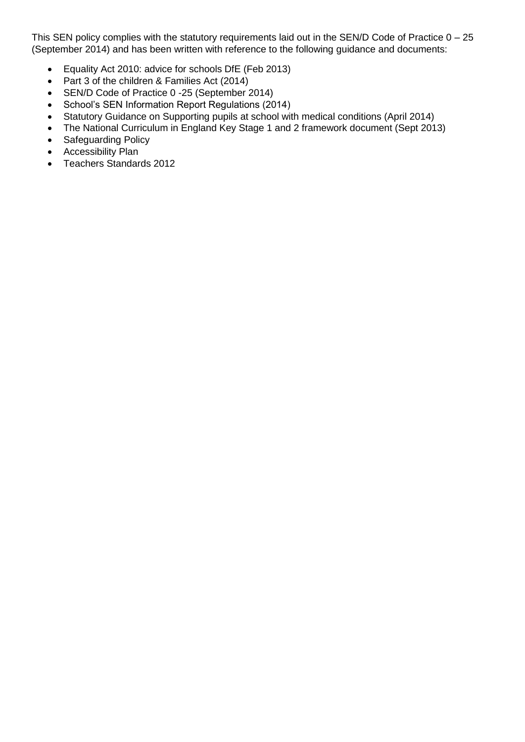This SEN policy complies with the statutory requirements laid out in the SEN/D Code of Practice 0 – 25 (September 2014) and has been written with reference to the following guidance and documents:

- Equality Act 2010: advice for schools DfE (Feb 2013)
- Part 3 of the children & Families Act (2014)
- SEN/D Code of Practice 0 -25 (September 2014)
- School's SEN Information Report Regulations (2014)
- Statutory Guidance on Supporting pupils at school with medical conditions (April 2014)
- The National Curriculum in England Key Stage 1 and 2 framework document (Sept 2013)
- Safeguarding Policy
- Accessibility Plan
- Teachers Standards 2012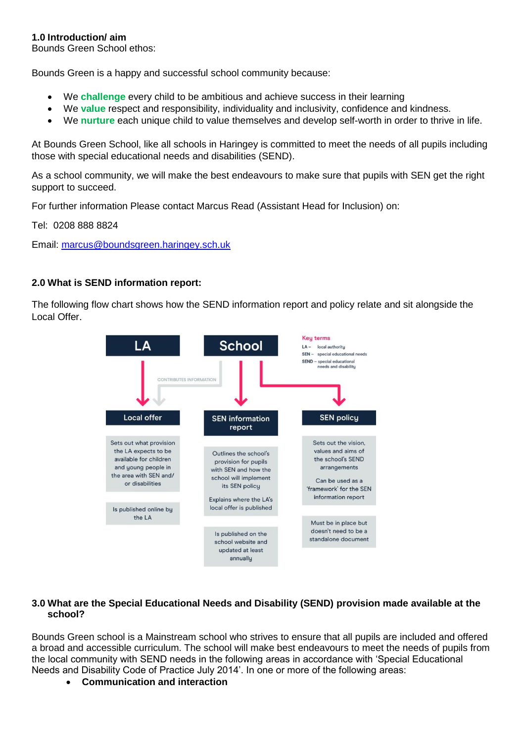# **1.0 Introduction/ aim**

Bounds Green School ethos:

Bounds Green is a happy and successful school community because:

- We **challenge** every child to be ambitious and achieve success in their learning
- We **value** respect and responsibility, individuality and inclusivity, confidence and kindness.
- We **nurture** each unique child to value themselves and develop self-worth in order to thrive in life.

At Bounds Green School, like all schools in Haringey is committed to meet the needs of all pupils including those with special educational needs and disabilities (SEND).

As a school community, we will make the best endeavours to make sure that pupils with SEN get the right support to succeed.

For further information Please contact Marcus Read (Assistant Head for Inclusion) on:

Tel: 0208 888 8824

Email: [marcus@boundsgreen.haringey.sch.uk](mailto:marcus@boundsgreen.haringey.sch.uk)

#### **2.0 What is SEND information report:**

The following flow chart shows how the SEND information report and policy relate and sit alongside the Local Offer.



# **3.0 What are the Special Educational Needs and Disability (SEND) provision made available at the school?**

Bounds Green school is a Mainstream school who strives to ensure that all pupils are included and offered a broad and accessible curriculum. The school will make best endeavours to meet the needs of pupils from the local community with SEND needs in the following areas in accordance with 'Special Educational Needs and Disability Code of Practice July 2014'. In one or more of the following areas:

**Communication and interaction**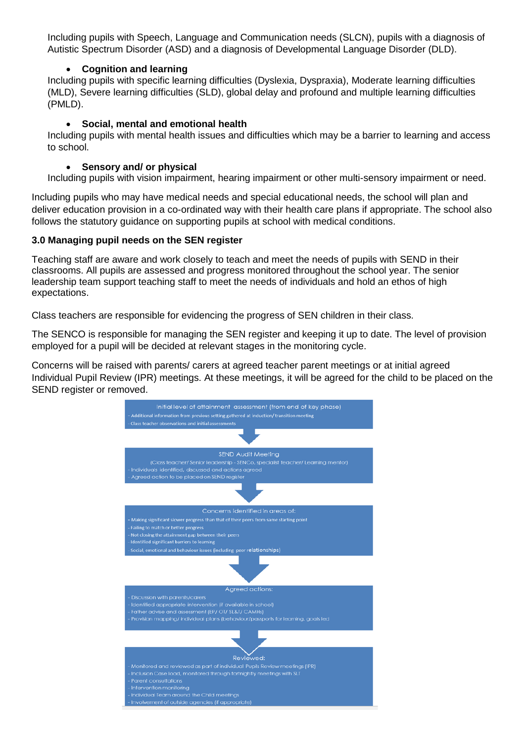Including pupils with Speech, Language and Communication needs (SLCN), pupils with a diagnosis of Autistic Spectrum Disorder (ASD) and a diagnosis of Developmental Language Disorder (DLD).

# **Cognition and learning**

Including pupils with specific learning difficulties (Dyslexia, Dyspraxia), Moderate learning difficulties (MLD), Severe learning difficulties (SLD), global delay and profound and multiple learning difficulties (PMLD).

### **Social, mental and emotional health**

Including pupils with mental health issues and difficulties which may be a barrier to learning and access to school.

### **Sensory and/ or physical**

Including pupils with vision impairment, hearing impairment or other multi-sensory impairment or need.

Including pupils who may have medical needs and special educational needs, the school will plan and deliver education provision in a co-ordinated way with their health care plans if appropriate. The school also follows the statutory guidance on supporting pupils at school with medical conditions.

# **3.0 Managing pupil needs on the SEN register**

Teaching staff are aware and work closely to teach and meet the needs of pupils with SEND in their classrooms. All pupils are assessed and progress monitored throughout the school year. The senior leadership team support teaching staff to meet the needs of individuals and hold an ethos of high expectations.

Class teachers are responsible for evidencing the progress of SEN children in their class.

The SENCO is responsible for managing the SEN register and keeping it up to date. The level of provision employed for a pupil will be decided at relevant stages in the monitoring cycle.

Concerns will be raised with parents/ carers at agreed teacher parent meetings or at initial agreed Individual Pupil Review (IPR) meetings. At these meetings, it will be agreed for the child to be placed on the SEND register or removed.

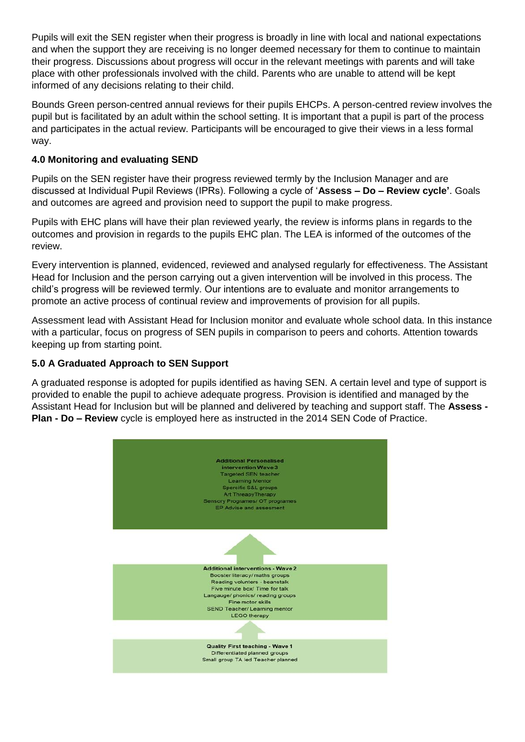Pupils will exit the SEN register when their progress is broadly in line with local and national expectations and when the support they are receiving is no longer deemed necessary for them to continue to maintain their progress. Discussions about progress will occur in the relevant meetings with parents and will take place with other professionals involved with the child. Parents who are unable to attend will be kept informed of any decisions relating to their child.

Bounds Green person-centred annual reviews for their pupils EHCPs. A person-centred review involves the pupil but is facilitated by an adult within the school setting. It is important that a pupil is part of the process and participates in the actual review. Participants will be encouraged to give their views in a less formal way.

# **4.0 Monitoring and evaluating SEND**

Pupils on the SEN register have their progress reviewed termly by the Inclusion Manager and are discussed at Individual Pupil Reviews (IPRs). Following a cycle of '**Assess – Do – Review cycle'**. Goals and outcomes are agreed and provision need to support the pupil to make progress.

Pupils with EHC plans will have their plan reviewed yearly, the review is informs plans in regards to the outcomes and provision in regards to the pupils EHC plan. The LEA is informed of the outcomes of the review.

Every intervention is planned, evidenced, reviewed and analysed regularly for effectiveness. The Assistant Head for Inclusion and the person carrying out a given intervention will be involved in this process. The child's progress will be reviewed termly. Our intentions are to evaluate and monitor arrangements to promote an active process of continual review and improvements of provision for all pupils.

Assessment lead with Assistant Head for Inclusion monitor and evaluate whole school data. In this instance with a particular, focus on progress of SEN pupils in comparison to peers and cohorts. Attention towards keeping up from starting point.

# **5.0 A Graduated Approach to SEN Support**

A graduated response is adopted for pupils identified as having SEN. A certain level and type of support is provided to enable the pupil to achieve adequate progress. Provision is identified and managed by the Assistant Head for Inclusion but will be planned and delivered by teaching and support staff. The **Assess - Plan - Do – Review** cycle is employed here as instructed in the 2014 SEN Code of Practice.

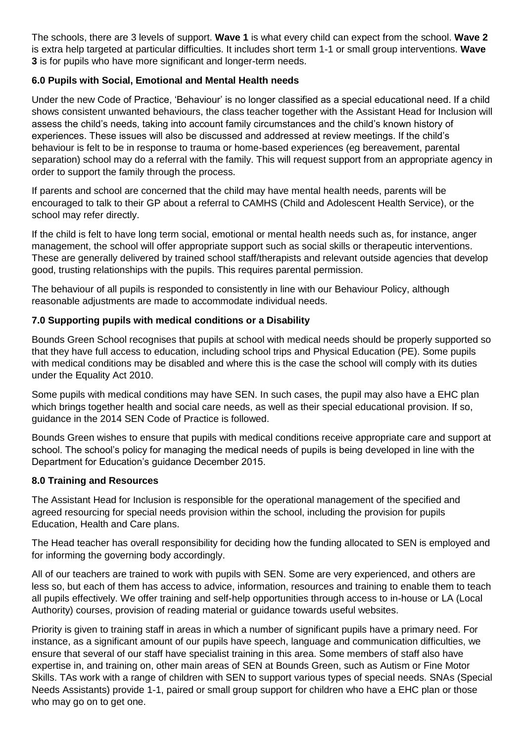The schools, there are 3 levels of support. **Wave 1** is what every child can expect from the school. **Wave 2** is extra help targeted at particular difficulties. It includes short term 1-1 or small group interventions. **Wave 3** is for pupils who have more significant and longer-term needs.

# **6.0 Pupils with Social, Emotional and Mental Health needs**

Under the new Code of Practice, 'Behaviour' is no longer classified as a special educational need. If a child shows consistent unwanted behaviours, the class teacher together with the Assistant Head for Inclusion will assess the child's needs, taking into account family circumstances and the child's known history of experiences. These issues will also be discussed and addressed at review meetings. If the child's behaviour is felt to be in response to trauma or home-based experiences (eg bereavement, parental separation) school may do a referral with the family. This will request support from an appropriate agency in order to support the family through the process.

If parents and school are concerned that the child may have mental health needs, parents will be encouraged to talk to their GP about a referral to CAMHS (Child and Adolescent Health Service), or the school may refer directly.

If the child is felt to have long term social, emotional or mental health needs such as, for instance, anger management, the school will offer appropriate support such as social skills or therapeutic interventions. These are generally delivered by trained school staff/therapists and relevant outside agencies that develop good, trusting relationships with the pupils. This requires parental permission.

The behaviour of all pupils is responded to consistently in line with our Behaviour Policy, although reasonable adjustments are made to accommodate individual needs.

# **7.0 Supporting pupils with medical conditions or a Disability**

Bounds Green School recognises that pupils at school with medical needs should be properly supported so that they have full access to education, including school trips and Physical Education (PE). Some pupils with medical conditions may be disabled and where this is the case the school will comply with its duties under the Equality Act 2010.

Some pupils with medical conditions may have SEN. In such cases, the pupil may also have a EHC plan which brings together health and social care needs, as well as their special educational provision. If so, guidance in the 2014 SEN Code of Practice is followed.

Bounds Green wishes to ensure that pupils with medical conditions receive appropriate care and support at school. The school's policy for managing the medical needs of pupils is being developed in line with the Department for Education's guidance December 2015.

#### **8.0 Training and Resources**

The Assistant Head for Inclusion is responsible for the operational management of the specified and agreed resourcing for special needs provision within the school, including the provision for pupils Education, Health and Care plans.

The Head teacher has overall responsibility for deciding how the funding allocated to SEN is employed and for informing the governing body accordingly.

All of our teachers are trained to work with pupils with SEN. Some are very experienced, and others are less so, but each of them has access to advice, information, resources and training to enable them to teach all pupils effectively. We offer training and self-help opportunities through access to in-house or LA (Local Authority) courses, provision of reading material or guidance towards useful websites.

Priority is given to training staff in areas in which a number of significant pupils have a primary need. For instance, as a significant amount of our pupils have speech, language and communication difficulties, we ensure that several of our staff have specialist training in this area. Some members of staff also have expertise in, and training on, other main areas of SEN at Bounds Green, such as Autism or Fine Motor Skills. TAs work with a range of children with SEN to support various types of special needs. SNAs (Special Needs Assistants) provide 1-1, paired or small group support for children who have a EHC plan or those who may go on to get one.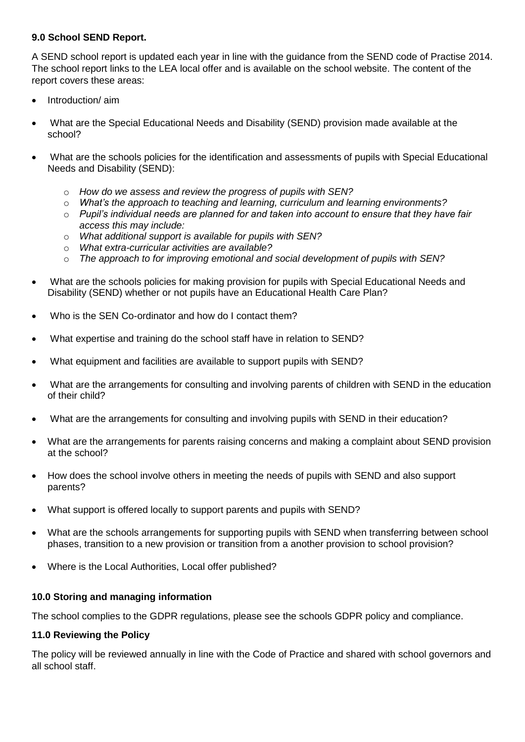# **9.0 School SEND Report.**

A SEND school report is updated each year in line with the guidance from the SEND code of Practise 2014. The school report links to the LEA local offer and is available on the school website. The content of the report covers these areas:

- Introduction/ aim
- What are the Special Educational Needs and Disability (SEND) provision made available at the school?
- What are the schools policies for the identification and assessments of pupils with Special Educational Needs and Disability (SEND):
	- o *How do we assess and review the progress of pupils with SEN?*
	- o *What's the approach to teaching and learning, curriculum and learning environments?*
	- o *Pupil's individual needs are planned for and taken into account to ensure that they have fair access this may include:*
	- o *What additional support is available for pupils with SEN?*
	- o *What extra-curricular activities are available?*
	- o *The approach to for improving emotional and social development of pupils with SEN?*
- What are the schools policies for making provision for pupils with Special Educational Needs and Disability (SEND) whether or not pupils have an Educational Health Care Plan?
- Who is the SEN Co-ordinator and how do I contact them?
- What expertise and training do the school staff have in relation to SEND?
- What equipment and facilities are available to support pupils with SEND?
- What are the arrangements for consulting and involving parents of children with SEND in the education of their child?
- What are the arrangements for consulting and involving pupils with SEND in their education?
- What are the arrangements for parents raising concerns and making a complaint about SEND provision at the school?
- How does the school involve others in meeting the needs of pupils with SEND and also support parents?
- What support is offered locally to support parents and pupils with SEND?
- What are the schools arrangements for supporting pupils with SEND when transferring between school phases, transition to a new provision or transition from a another provision to school provision?
- Where is the Local Authorities, Local offer published?

#### **10.0 Storing and managing information**

The school complies to the GDPR regulations, please see the schools GDPR policy and compliance.

#### **11.0 Reviewing the Policy**

The policy will be reviewed annually in line with the Code of Practice and shared with school governors and all school staff.